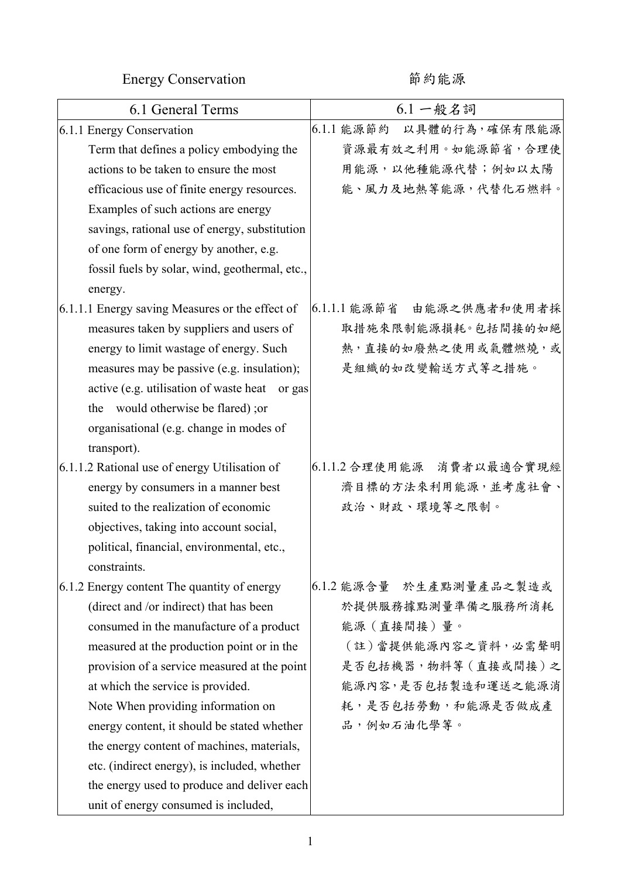Energy Conservation <br>
http://www.mail.com/mail/and/mail/and/mail/and/mail/and/mail/and/mail/and/mail

| 6.1 General Terms                               | $6.1 - R$ 名詞                |
|-------------------------------------------------|-----------------------------|
| 6.1.1 Energy Conservation                       | 6.1.1 能源節約<br>以具體的行為,確保有限能源 |
| Term that defines a policy embodying the        | 資源最有效之利用。如能源節省,合理使          |
| actions to be taken to ensure the most          | 用能源,以他種能源代替;例如以太陽           |
| efficacious use of finite energy resources.     | 能、風力及地熱等能源,代替化石燃料。          |
| Examples of such actions are energy             |                             |
| savings, rational use of energy, substitution   |                             |
| of one form of energy by another, e.g.          |                             |
| fossil fuels by solar, wind, geothermal, etc.,  |                             |
| energy.                                         |                             |
| 6.1.1.1 Energy saving Measures or the effect of | 6.1.1.1 能源節省 由能源之供應者和使用者採   |
| measures taken by suppliers and users of        | 取措施來限制能源損耗。包括間接的如絕          |
| energy to limit wastage of energy. Such         | 熱,直接的如廢熱之使用或氣體燃燒,或          |
| measures may be passive (e.g. insulation);      | 是組織的如改變輸送方式等之措施。            |
| active (e.g. utilisation of waste heat or gas)  |                             |
| the would otherwise be flared); or              |                             |
| organisational (e.g. change in modes of         |                             |
| transport).                                     |                             |
| 6.1.1.2 Rational use of energy Utilisation of   | 6.1.1.2 合理使用能源 消費者以最適合實現經   |
| energy by consumers in a manner best            | 濟目標的方法來利用能源,並考慮社會、          |
| suited to the realization of economic           | 政治、財政、環境等之限制。               |
| objectives, taking into account social,         |                             |
| political, financial, environmental, etc.,      |                             |
| constraints.                                    |                             |
| 6.1.2 Energy content The quantity of energy     | 6.1.2 能源含量 於生產點測量產品之製造或     |
| (direct and /or indirect) that has been         | 於提供服務據點測量準備之服務所消耗           |
| consumed in the manufacture of a product        | 能源(直接間接)量。                  |
| measured at the production point or in the      | (註)當提供能源內容之資料,必需聲明          |
| provision of a service measured at the point    | 是否包括機器,物料等(直接或間接)之          |
| at which the service is provided.               | 能源內容,是否包括製造和運送之能源消          |
| Note When providing information on              | 耗,是否包括勞動,和能源是否做成產           |
| energy content, it should be stated whether     | 品,例如石油化學等。                  |
| the energy content of machines, materials,      |                             |
| etc. (indirect energy), is included, whether    |                             |
| the energy used to produce and deliver each     |                             |
| unit of energy consumed is included,            |                             |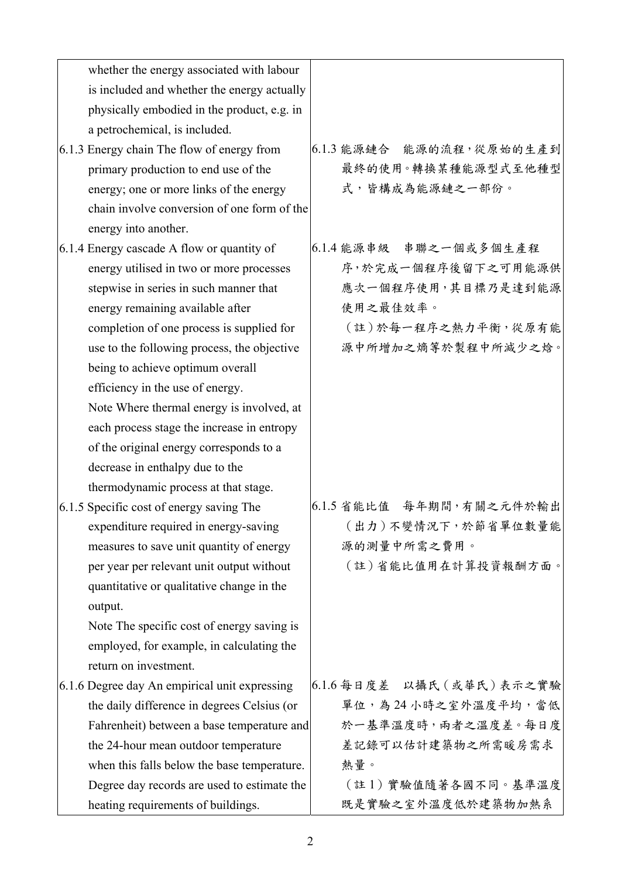| whether the energy associated with labour     |                           |
|-----------------------------------------------|---------------------------|
| is included and whether the energy actually   |                           |
| physically embodied in the product, e.g. in   |                           |
| a petrochemical, is included.                 |                           |
| 6.1.3 Energy chain The flow of energy from    | 6.1.3 能源鏈合 能源的流程,從原始的生產到  |
| primary production to end use of the          | 最終的使用。轉換某種能源型式至他種型        |
| energy; one or more links of the energy       | 式,皆構成為能源鏈之一部份。            |
| chain involve conversion of one form of the   |                           |
| energy into another.                          |                           |
| 6.1.4 Energy cascade A flow or quantity of    | 6.1.4 能源串级 串聯之一個或多個生產程    |
| energy utilised in two or more processes      | 序,於完成一個程序後留下之可用能源供        |
| stepwise in series in such manner that        | 應次一個程序使用,其目標乃是達到能源        |
| energy remaining available after              | 使用之最佳效率。                  |
| completion of one process is supplied for     | (註)於每一程序之熱力平衡,從原有能        |
| use to the following process, the objective   | 源中所增加之熵等於製程中所減少之焓。        |
| being to achieve optimum overall              |                           |
| efficiency in the use of energy.              |                           |
| Note Where thermal energy is involved, at     |                           |
| each process stage the increase in entropy    |                           |
| of the original energy corresponds to a       |                           |
| decrease in enthalpy due to the               |                           |
| thermodynamic process at that stage.          |                           |
| 6.1.5 Specific cost of energy saving The      | 6.1.5 省能比值 每年期間,有關之元件於輸出  |
| expenditure required in energy-saving         | (出力)不變情況下,於節省單位數量能        |
| measures to save unit quantity of energy      | 源的測量中所需之費用。               |
| per year per relevant unit output without     | (註)省能比值用在計算投資報酬方面。        |
| quantitative or qualitative change in the     |                           |
| output.                                       |                           |
| Note The specific cost of energy saving is    |                           |
| employed, for example, in calculating the     |                           |
| return on investment.                         |                           |
| 6.1.6 Degree day An empirical unit expressing | 6.1.6 每日度差 以攝氏 (或華氏)表示之實驗 |
| the daily difference in degrees Celsius (or   | 單位,為24小時之室外溫度平均,當低        |
| Fahrenheit) between a base temperature and    | 於一基準溫度時,兩者之溫度差。每日度        |
| the 24-hour mean outdoor temperature          | 差記錄可以估計建築物之所需暖房需求         |
| when this falls below the base temperature.   | 熱量。                       |
| Degree day records are used to estimate the   | (註1)實驗值隨著各國不同。基準溫度        |
| heating requirements of buildings.            | 既是實驗之室外溫度低於建築物加熱系         |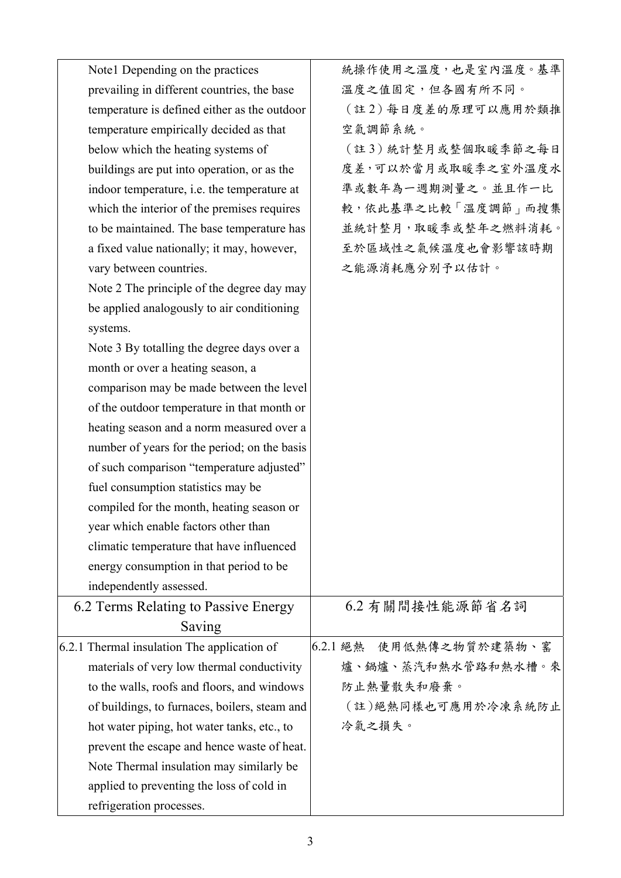| Note 1 Depending on the practices                  | 統操作使用之溫度,也是室內溫度。基準         |
|----------------------------------------------------|----------------------------|
| prevailing in different countries, the base        | 溫度之值固定,但各國有所不同。            |
| temperature is defined either as the outdoor       | (註2)每日度差的原理可以應用於類推         |
| temperature empirically decided as that            | 空氣調節系統。                    |
| below which the heating systems of                 | (註3)統計整月或整個取暖季節之每日         |
| buildings are put into operation, or as the        | 度差,可以於當月或取暖季之室外溫度水         |
| indoor temperature, <i>i.e.</i> the temperature at | 準或數年為一週期測量之。並且作一比          |
| which the interior of the premises requires        | 較,依此基準之比較「溫度調節」而搜集         |
| to be maintained. The base temperature has         | 並統計整月,取暖季或整年之燃料消耗。         |
| a fixed value nationally; it may, however,         | 至於區域性之氣候溫度也會影響該時期          |
| vary between countries.                            | 之能源消耗應分別予以估計。              |
| Note 2 The principle of the degree day may         |                            |
| be applied analogously to air conditioning         |                            |
| systems.                                           |                            |
| Note 3 By totalling the degree days over a         |                            |
| month or over a heating season, a                  |                            |
| comparison may be made between the level           |                            |
| of the outdoor temperature in that month or        |                            |
| heating season and a norm measured over a          |                            |
| number of years for the period; on the basis       |                            |
| of such comparison "temperature adjusted"          |                            |
| fuel consumption statistics may be                 |                            |
| compiled for the month, heating season or          |                            |
| year which enable factors other than               |                            |
| climatic temperature that have influenced          |                            |
| energy consumption in that period to be            |                            |
| independently assessed.                            |                            |
| 6.2 Terms Relating to Passive Energy               | 6.2 有關間接性能源節省名詞            |
| Saving                                             |                            |
| 6.2.1 Thermal insulation The application of        | 6.2.1 絕熱<br>使用低熱傳之物質於建築物、窰 |
| materials of very low thermal conductivity         | 爐、鍋爐、蒸汽和熱水管路和熱水槽。來         |
| to the walls, roofs and floors, and windows        | 防止熱量散失和廢棄。                 |
| of buildings, to furnaces, boilers, steam and      | (註)絕熱同樣也可應用於冷凍系統防止         |
| hot water piping, hot water tanks, etc., to        | 冷氣之損失。                     |
| prevent the escape and hence waste of heat.        |                            |
| Note Thermal insulation may similarly be           |                            |
| applied to preventing the loss of cold in          |                            |
| refrigeration processes.                           |                            |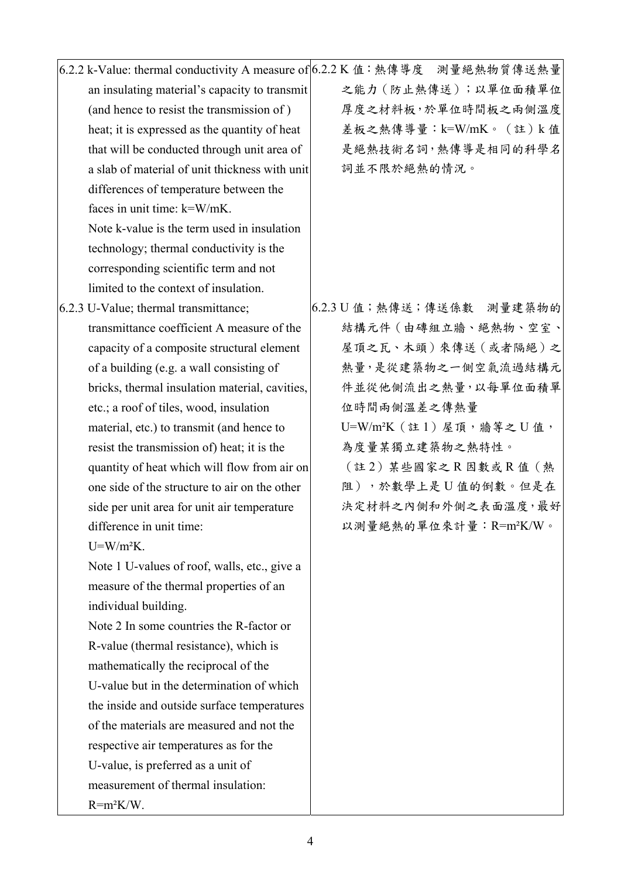|                                                | 6.2.2 k-Value: thermal conductivity A measure of 6.2.2 K 值:熱傳導度 測量絕熱物質傳送熱量 |
|------------------------------------------------|----------------------------------------------------------------------------|
| an insulating material's capacity to transmit  | 之能力 (防止熱傳送);以單位面積單位                                                        |
| (and hence to resist the transmission of)      | 厚度之材料板,於單位時間板之兩側溫度                                                         |
| heat; it is expressed as the quantity of heat  | 差板之熱傳導量:k=W/mK。(註)k值                                                       |
| that will be conducted through unit area of    | 是絕熱技術名詞,熱傳導是相同的科學名                                                         |
| a slab of material of unit thickness with unit | 詞並不限於絕熱的情況。                                                                |
| differences of temperature between the         |                                                                            |
| faces in unit time: k=W/mK.                    |                                                                            |
| Note k-value is the term used in insulation    |                                                                            |
| technology; thermal conductivity is the        |                                                                            |
| corresponding scientific term and not          |                                                                            |
| limited to the context of insulation.          |                                                                            |
| 6.2.3 U-Value; thermal transmittance;          | 6.2.3 U 值; 熱傳送; 傳送係數 測量建築物的                                                |
| transmittance coefficient A measure of the     | 結構元件 (由磚組立牆、絕熱物、空室、                                                        |
| capacity of a composite structural element     | 屋頂之瓦、木頭)來傳送(或者隔絕)之                                                         |
| of a building (e.g. a wall consisting of       | 熱量,是從建築物之一側空氣流過結構元                                                         |
| bricks, thermal insulation material, cavities, | 件並從他側流出之熱量,以每單位面積單                                                         |
| etc.; a roof of tiles, wood, insulation        | 位時間兩側溫差之傳熱量                                                                |
| material, etc.) to transmit (and hence to      | U=W/m <sup>2</sup> K $($ 註1) 屋頂, 牆等之 U值,                                   |
| resist the transmission of) heat; it is the    | 為度量某獨立建築物之熱特性。                                                             |
| quantity of heat which will flow from air on   | (註2)某些國家之R因數或R值 (熱                                                         |
| one side of the structure to air on the other  | 阻),於數學上是U值的倒數。但是在                                                          |
| side per unit area for unit air temperature    | 決定材料之內側和外側之表面溫度,最好                                                         |
| difference in unit time:                       | 以測量絕熱的單位來計量: R=m2K/W。                                                      |
| $U = W/m2K$ .                                  |                                                                            |
| Note 1 U-values of roof, walls, etc., give a   |                                                                            |
| measure of the thermal properties of an        |                                                                            |
| individual building.                           |                                                                            |
| Note 2 In some countries the R-factor or       |                                                                            |
| R-value (thermal resistance), which is         |                                                                            |
| mathematically the reciprocal of the           |                                                                            |
| U-value but in the determination of which      |                                                                            |
| the inside and outside surface temperatures    |                                                                            |
| of the materials are measured and not the      |                                                                            |
| respective air temperatures as for the         |                                                                            |
| U-value, is preferred as a unit of             |                                                                            |
| measurement of thermal insulation:             |                                                                            |
| $R = m^2K/W$ .                                 |                                                                            |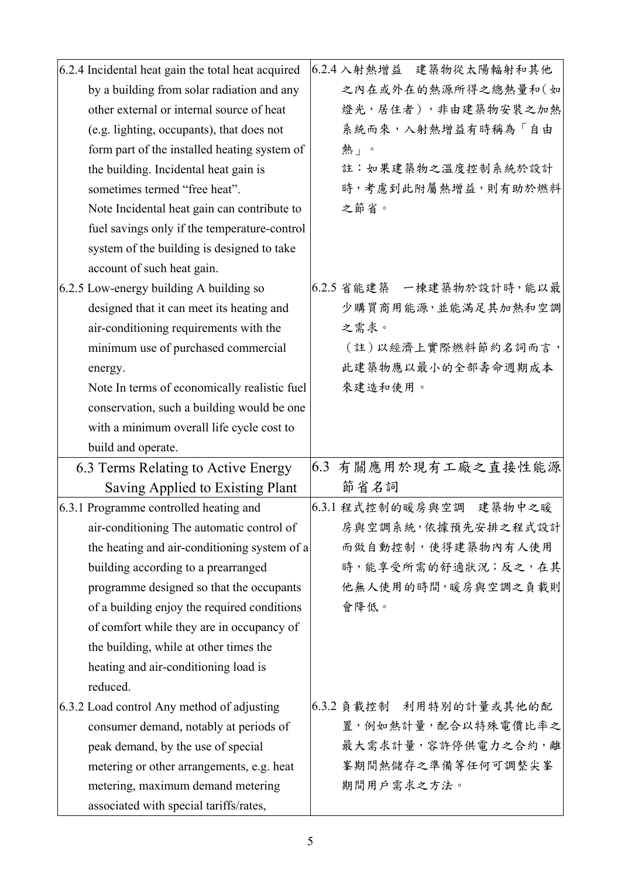| 6.2.4 Incidental heat gain the total heat acquired |     | 6.2.4 入射熱增益 建築物從太陽輻射和其他  |
|----------------------------------------------------|-----|--------------------------|
| by a building from solar radiation and any         |     | 之內在或外在的熱源所得之總熱量和(如       |
| other external or internal source of heat          |     | 燈光,居住者),非由建築物安裝之加熱       |
| (e.g. lighting, occupants), that does not          |     | 系統而來,入射熱增益有時稱為「自由        |
| form part of the installed heating system of       |     | 熱」。                      |
| the building. Incidental heat gain is              |     | 註:如果建築物之溫度控制系統於設計        |
| sometimes termed "free heat".                      |     | 時,考慮到此附屬熱增益,則有助於燃料       |
| Note Incidental heat gain can contribute to        |     | 之節省。                     |
| fuel savings only if the temperature-control       |     |                          |
| system of the building is designed to take         |     |                          |
| account of such heat gain.                         |     |                          |
| 6.2.5 Low-energy building A building so            |     | 6.2.5 省能建築 一棟建築物於設計時,能以最 |
| designed that it can meet its heating and          |     | 少購買商用能源,並能滿足其加熱和空調       |
| air-conditioning requirements with the             |     | 之需求。                     |
| minimum use of purchased commercial                |     | (註)以經濟上實際燃料節約名詞而言,       |
| energy.                                            |     | 此建築物應以最小的全部壽命週期成本        |
| Note In terms of economically realistic fuel       |     | 來建造和使用。                  |
| conservation, such a building would be one         |     |                          |
| with a minimum overall life cycle cost to          |     |                          |
| build and operate.                                 |     |                          |
| 6.3 Terms Relating to Active Energy                | 6.3 | 有關應用於現有工廠之直接性能源          |
| Saving Applied to Existing Plant                   |     | 節省名詞                     |
| 6.3.1 Programme controlled heating and             |     | 6.3.1 程式控制的暖房與空調 建築物中之暖  |
| air-conditioning The automatic control of          |     | 房與空調系統,依據預先安排之程式設計       |
| the heating and air-conditioning system of a       |     | 而做自動控制,使得建築物內有人使用        |
| building according to a prearranged                |     | 時,能享受所需的舒適狀況;反之,在其       |
| programme designed so that the occupants           |     | 他無人使用的時間,暖房與空調之負載則       |
| of a building enjoy the required conditions        |     | 會降低。                     |
| of comfort while they are in occupancy of          |     |                          |
| the building, while at other times the             |     |                          |
| heating and air-conditioning load is               |     |                          |
| reduced.                                           |     |                          |
| 6.3.2 Load control Any method of adjusting         |     | 6.3.2 負載控制 利用特别的計量或其他的配  |
| consumer demand, notably at periods of             |     | 置,例如熱計量,配合以特殊電價比率之       |
| peak demand, by the use of special                 |     | 最大需求計量,容許停供電力之合約,離       |
|                                                    |     | 峯期間熱儲存之準備等任何可調整尖峯        |
| metering or other arrangements, e.g. heat          |     |                          |
| metering, maximum demand metering                  |     | 期間用戶需求之方法。               |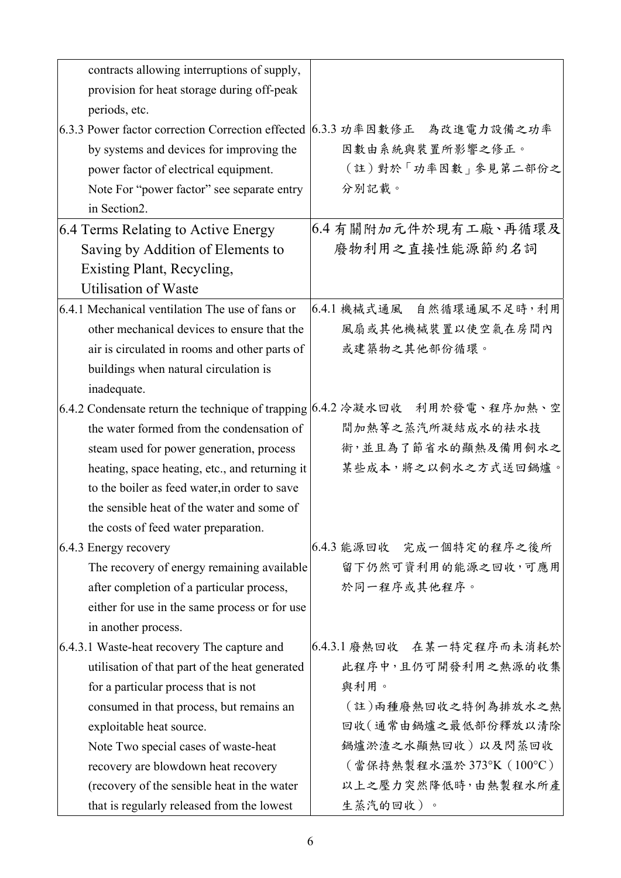| contracts allowing interruptions of supply,                               |                                                                            |
|---------------------------------------------------------------------------|----------------------------------------------------------------------------|
| provision for heat storage during off-peak                                |                                                                            |
| periods, etc.                                                             |                                                                            |
| 6.3.3 Power factor correction Correction effected 6.3.3 功率因數修正 為改進電力設備之功率 |                                                                            |
| by systems and devices for improving the                                  | 因數由系統與裝置所影響之修正。                                                            |
| power factor of electrical equipment.                                     | (註)對於「功率因數」參見第二部份之                                                         |
| Note For "power factor" see separate entry                                | 分別記載。                                                                      |
| in Section2.                                                              |                                                                            |
| 6.4 Terms Relating to Active Energy                                       | 6.4 有關附加元件於現有工廠、再循環及                                                       |
| Saving by Addition of Elements to                                         | 廢物利用之直接性能源節約名詞                                                             |
| <b>Existing Plant, Recycling,</b>                                         |                                                                            |
| <b>Utilisation of Waste</b>                                               |                                                                            |
| 6.4.1 Mechanical ventilation The use of fans or                           | 6.4.1 機械式通風 自然循環通風不足時,利用                                                   |
| other mechanical devices to ensure that the                               | 風扇或其他機械裝置以使空氣在房間內                                                          |
| air is circulated in rooms and other parts of                             | 或建築物之其他部份循環。                                                               |
| buildings when natural circulation is                                     |                                                                            |
| inadequate.                                                               |                                                                            |
|                                                                           | 6.4.2 Condensate return the technique of trapping 6.4.2 冷凝水回收 利用於發電、程序加熱、空 |
| the water formed from the condensation of                                 | 間加熱等之蒸汽所凝結成水的祛水技                                                           |
| steam used for power generation, process                                  | 術,並且為了節省水的顯熱及備用飼水之                                                         |
| heating, space heating, etc., and returning it                            | 某些成本,將之以飼水之方式送回鍋爐。                                                         |
| to the boiler as feed water, in order to save                             |                                                                            |
| the sensible heat of the water and some of                                |                                                                            |
| the costs of feed water preparation.                                      |                                                                            |
| 6.4.3 Energy recovery                                                     | 6.4.3 能源回收 完成一個特定的程序之後所                                                    |
| The recovery of energy remaining available                                | 留下仍然可資利用的能源之回收,可應用                                                         |
| after completion of a particular process,                                 | 於同一程序或其他程序。                                                                |
| either for use in the same process or for use                             |                                                                            |
| in another process.                                                       |                                                                            |
| 6.4.3.1 Waste-heat recovery The capture and                               | 6.4.3.1 廢熱回收 在某一特定程序而未消耗於                                                  |
| utilisation of that part of the heat generated                            | 此程序中,且仍可開發利用之熱源的收集                                                         |
| for a particular process that is not                                      | 與利用。                                                                       |
| consumed in that process, but remains an                                  | (註)兩種廢熱回收之特例為排放水之熱                                                         |
| exploitable heat source.                                                  | 回收(通常由鍋爐之最低部份釋放以清除                                                         |
| Note Two special cases of waste-heat                                      | 鍋爐淤渣之水顯熱回收)以及閃蒸回收                                                          |
| recovery are blowdown heat recovery                                       | (當保持熱製程水溫於373°K (100°C)                                                    |
| (recovery of the sensible heat in the water                               | 以上之壓力突然降低時,由熱製程水所產                                                         |
| that is regularly released from the lowest                                | 生蒸汽的回收)。                                                                   |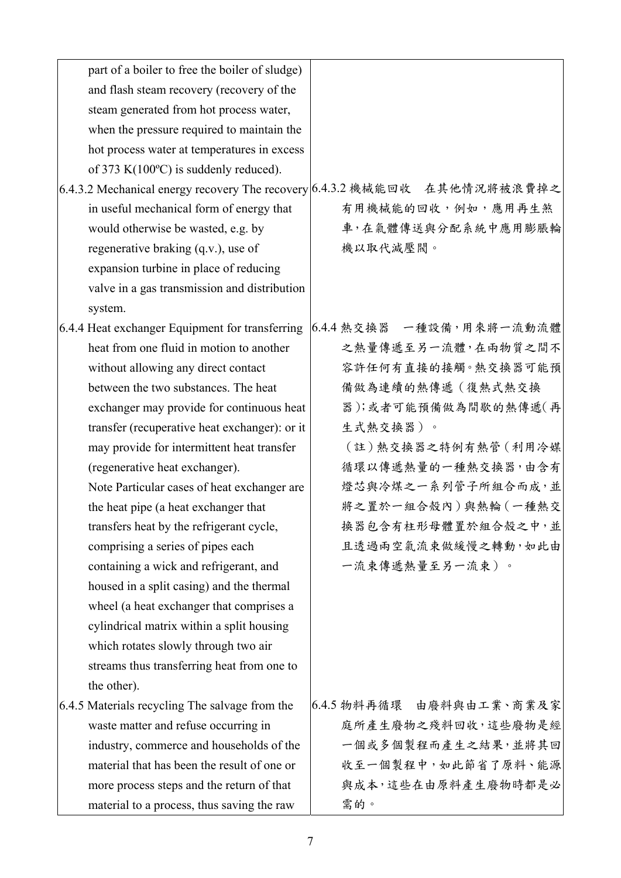| part of a boiler to free the boiler of sludge)  |                                                                           |
|-------------------------------------------------|---------------------------------------------------------------------------|
| and flash steam recovery (recovery of the       |                                                                           |
| steam generated from hot process water,         |                                                                           |
| when the pressure required to maintain the      |                                                                           |
| hot process water at temperatures in excess     |                                                                           |
| of 373 K $(100^{\circ}C)$ is suddenly reduced). |                                                                           |
|                                                 | 6.4.3.2 Mechanical energy recovery The recovery 6.4.3.2 機械能回收 在其他情况將被浪費掉之 |
| in useful mechanical form of energy that        | 有用機械能的回收,例如,應用再生煞                                                         |
| would otherwise be wasted, e.g. by              | 車,在氣體傳送與分配系統中應用膨脹輪                                                        |
| regenerative braking (q.v.), use of             | 機以取代減壓閥。                                                                  |
| expansion turbine in place of reducing          |                                                                           |
| valve in a gas transmission and distribution    |                                                                           |
| system.                                         |                                                                           |
| 6.4.4 Heat exchanger Equipment for transferring | 6.4.4 熱交換器 一種設備,用來將一流動流體                                                  |
| heat from one fluid in motion to another        | 之熱量傳遞至另一流體,在兩物質之間不                                                        |
| without allowing any direct contact             | 容許任何有直接的接觸。熱交換器可能預                                                        |
| between the two substances. The heat            | 備做為連續的熱傳遞(復熱式熱交換                                                          |
| exchanger may provide for continuous heat       | 器);或者可能預備做為間歇的熱傳遞(再                                                       |
| transfer (recuperative heat exchanger): or it   | 生式熱交換器)。                                                                  |
| may provide for intermittent heat transfer      | (註)熱交換器之特例有熱管(利用冷媒                                                        |
| (regenerative heat exchanger).                  | 循環以傳遞熱量的一種熱交換器,由含有                                                        |
| Note Particular cases of heat exchanger are     | 燈芯與冷煤之一系列管子所組合而成,並                                                        |
| the heat pipe (a heat exchanger that            | 將之置於一組合殼內)與熱輪(一種熱交                                                        |
| transfers heat by the refrigerant cycle,        | 換器包含有柱形母體置於組合殼之中,並                                                        |
| comprising a series of pipes each               | 且透過兩空氣流束做緩慢之轉動,如此由                                                        |
| containing a wick and refrigerant, and          | 一流束傳遞熱量至另一流束)。                                                            |
| housed in a split casing) and the thermal       |                                                                           |
| wheel (a heat exchanger that comprises a        |                                                                           |
| cylindrical matrix within a split housing       |                                                                           |
| which rotates slowly through two air            |                                                                           |
| streams thus transferring heat from one to      |                                                                           |
| the other).                                     |                                                                           |
| 6.4.5 Materials recycling The salvage from the  | 6.4.5 物料再循環 由廢料與由工業、商業及家                                                  |
| waste matter and refuse occurring in            | 庭所產生廢物之殘料回收,這些廢物是經                                                        |
| industry, commerce and households of the        | 一個或多個製程而產生之結果,並將其回                                                        |
| material that has been the result of one or     | 收至一個製程中,如此節省了原料、能源                                                        |
| more process steps and the return of that       | 與成本,這些在由原料產生廢物時都是必                                                        |
| material to a process, thus saving the raw      | 需的。                                                                       |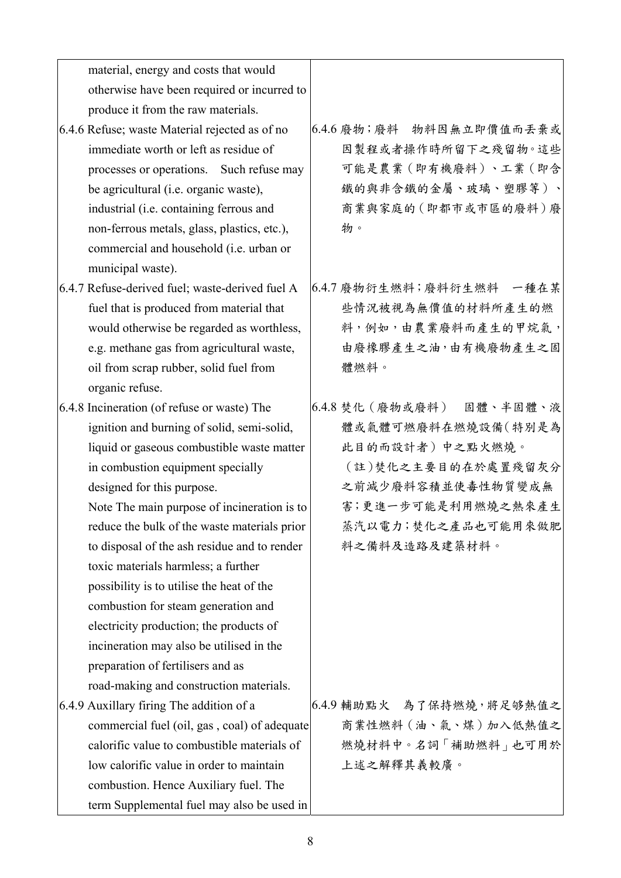| material, energy and costs that would           |                           |
|-------------------------------------------------|---------------------------|
| otherwise have been required or incurred to     |                           |
| produce it from the raw materials.              |                           |
| 6.4.6 Refuse; waste Material rejected as of no  | 6.4.6 廢物;廢料 物料因無立即價值而丢棄或  |
| immediate worth or left as residue of           | 因製程或者操作時所留下之殘留物。這些        |
| processes or operations. Such refuse may        | 可能是農業(即有機廢料)、工業(即含        |
| be agricultural (i.e. organic waste),           | 鐵的與非含鐵的金屬、玻璃、塑膠等)、        |
| industrial (i.e. containing ferrous and         | 商業與家庭的(即都市或市區的廢料)廢        |
| non-ferrous metals, glass, plastics, etc.),     | 物。                        |
| commercial and household (i.e. urban or         |                           |
| municipal waste).                               |                           |
| 6.4.7 Refuse-derived fuel; waste-derived fuel A | 6.4.7 廢物衍生燃料;廢料衍生燃料 一種在某  |
| fuel that is produced from material that        | 些情況被視為無價值的材料所產生的燃         |
| would otherwise be regarded as worthless,       | 料,例如,由農業廢料而產生的甲烷氣,        |
| e.g. methane gas from agricultural waste,       | 由廢橡膠產生之油,由有機廢物產生之固        |
| oil from scrap rubber, solid fuel from          | 體燃料。                      |
| organic refuse.                                 |                           |
| 6.4.8 Incineration (of refuse or waste) The     | 6.4.8 焚化 (廢物或廢料) 固體、半固體、液 |
| ignition and burning of solid, semi-solid,      | 體或氣體可燃廢料在燃燒設備(特別是為        |
| liquid or gaseous combustible waste matter      | 此目的而設計者)中之點火燃燒。           |
| in combustion equipment specially               | (註)焚化之主要目的在於處置殘留灰分        |
| designed for this purpose.                      | 之前減少廢料容積並使毒性物質變成無         |
| Note The main purpose of incineration is to     | 害;更進一步可能是利用燃燒之熱來產生        |
| reduce the bulk of the waste materials prior    | 蒸汽以電力;焚化之產品也可能用來做肥        |
| to disposal of the ash residue and to render    | 料之備料及造路及建築材料。             |
| toxic materials harmless; a further             |                           |
| possibility is to utilise the heat of the       |                           |
| combustion for steam generation and             |                           |
| electricity production; the products of         |                           |
| incineration may also be utilised in the        |                           |
| preparation of fertilisers and as               |                           |
| road-making and construction materials.         |                           |
| 6.4.9 Auxillary firing The addition of a        | 6.4.9 輔助點火 為了保持燃燒,將足够熱值之  |
| commercial fuel (oil, gas, coal) of adequate    | 商業性燃料 (油、氣、煤) 加入低熱值之      |
| calorific value to combustible materials of     | 燃燒材料中。名詞「補助燃料」也可用於        |
| low calorific value in order to maintain        | 上述之解釋其義較廣。                |
| combustion. Hence Auxiliary fuel. The           |                           |
| term Supplemental fuel may also be used in      |                           |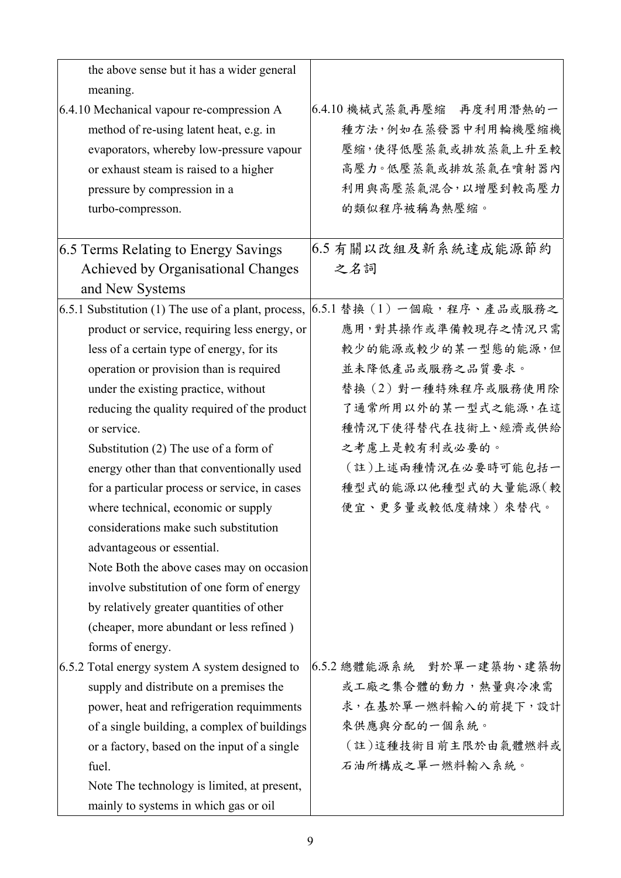| the above sense but it has a wider general          |                            |
|-----------------------------------------------------|----------------------------|
| meaning.                                            |                            |
| 6.4.10 Mechanical vapour re-compression A           | 6.4.10 機械式蒸氣再壓縮 再度利用潛熱的一   |
| method of re-using latent heat, e.g. in             | 種方法,例如在蒸發器中利用輪機壓縮機         |
| evaporators, whereby low-pressure vapour            | 壓縮,使得低壓蒸氣或排放蒸氣上升至較         |
| or exhaust steam is raised to a higher              | 高壓力。低壓蒸氣或排放蒸氣在噴射器內         |
| pressure by compression in a                        | 利用與高壓蒸氣混合,以增壓到較高壓力         |
| turbo-compresson.                                   | 的類似程序被稱為熱壓縮。               |
|                                                     |                            |
| 6.5 Terms Relating to Energy Savings                | 6.5 有關以改組及新系統達成能源節約        |
| Achieved by Organisational Changes                  | 之名詞                        |
| and New Systems                                     |                            |
| 6.5.1 Substitution (1) The use of a plant, process, | 6.5.1 替換 (1) 一個廠,程序、產品或服務之 |
| product or service, requiring less energy, or       | 應用,對其操作或準備較現存之情況只需         |
| less of a certain type of energy, for its           | 較少的能源或較少的某一型態的能源,但         |
| operation or provision than is required             | 並未降低產品或服務之品質要求。            |
| under the existing practice, without                | 替换(2)對一種特殊程序或服務使用除         |
| reducing the quality required of the product        | 了通常所用以外的某一型式之能源,在這         |
| or service.                                         | 種情況下使得替代在技術上、經濟或供給         |
| Substitution (2) The use of a form of               | 之考慮上是較有利或必要的。              |
| energy other than that conventionally used          | (註)上述兩種情況在必要時可能包括一         |
| for a particular process or service, in cases       | 種型式的能源以他種型式的大量能源(較         |
| where technical, economic or supply                 | 便宜、更多量或較低度精煉)來替代。          |
| considerations make such substitution               |                            |
| advantageous or essential.                          |                            |
| Note Both the above cases may on occasion           |                            |
| involve substitution of one form of energy          |                            |
| by relatively greater quantities of other           |                            |
| (cheaper, more abundant or less refined)            |                            |
| forms of energy.                                    |                            |
| 6.5.2 Total energy system A system designed to      | 6.5.2 總體能源系統 對於單一建築物、建築物   |
| supply and distribute on a premises the             | <b>或工廠之集合體的動力,熱量與冷凍需</b>   |
| power, heat and refrigeration requimments           | 求,在基於單一燃料輸入的前提下,設計         |
| of a single building, a complex of buildings        | 來供應與分配的一個系統。               |
| or a factory, based on the input of a single        | (註)這種技術目前主限於由氣體燃料或         |
| fuel.                                               | 石油所構成之單一燃料輸入系統。            |
| Note The technology is limited, at present,         |                            |
| mainly to systems in which gas or oil               |                            |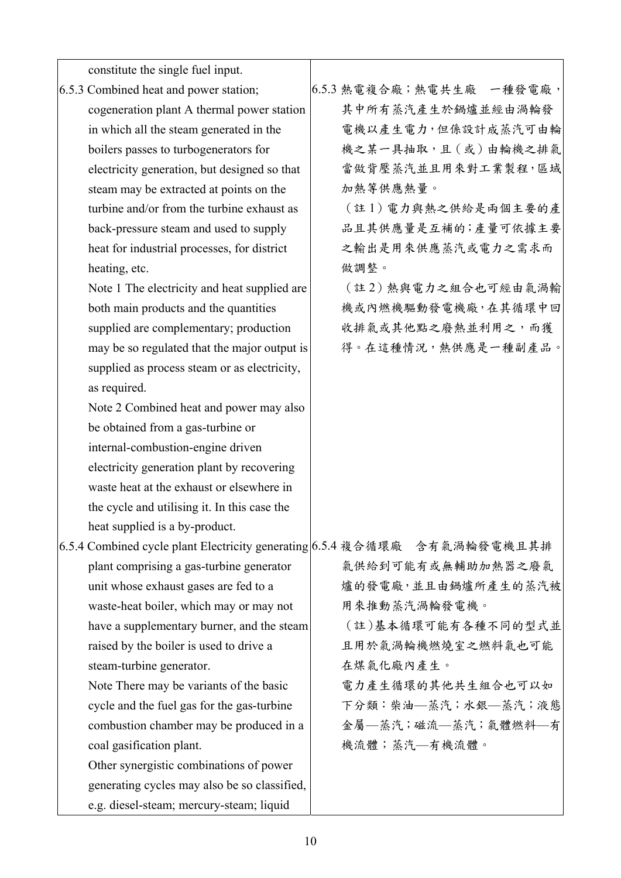| constitute the single fuel input.                                         |                          |
|---------------------------------------------------------------------------|--------------------------|
| 6.5.3 Combined heat and power station;                                    | 6.5.3 熱電複合廠;熱電共生廠 一種發電廠, |
| cogeneration plant A thermal power station                                | 其中所有蒸汽產生於鍋爐並經由渦輪發        |
| in which all the steam generated in the                                   | 電機以產生電力,但係設計成蒸汽可由輪       |
| boilers passes to turbogenerators for                                     | 機之某一具抽取,且(或)由輪機之排氣       |
| electricity generation, but designed so that                              | 當做背壓蒸汽並且用來對工業製程,區域       |
| steam may be extracted at points on the                                   | 加熱等供應熱量。                 |
| turbine and/or from the turbine exhaust as                                | (註1) 電力與熱之供給是兩個主要的產      |
| back-pressure steam and used to supply                                    | 品且其供應量是互補的;產量可依據主要       |
| heat for industrial processes, for district                               | 之輸出是用來供應蒸汽或電力之需求而        |
| heating, etc.                                                             | 做調整。                     |
| Note 1 The electricity and heat supplied are                              | (註2)熱與電力之組合也可經由氣渦輸       |
| both main products and the quantities                                     | 機或內燃機驅動發電機廠,在其循環中回       |
| supplied are complementary; production                                    | 收排氣或其他點之廢熱並利用之,而獲        |
| may be so regulated that the major output is                              | 得。在這種情況,熱供應是一種副產品。       |
| supplied as process steam or as electricity,                              |                          |
| as required.                                                              |                          |
| Note 2 Combined heat and power may also                                   |                          |
| be obtained from a gas-turbine or                                         |                          |
| internal-combustion-engine driven                                         |                          |
| electricity generation plant by recovering                                |                          |
| waste heat at the exhaust or elsewhere in                                 |                          |
| the cycle and utilising it. In this case the                              |                          |
| heat supplied is a by-product.                                            |                          |
| 6.5.4 Combined cycle plant Electricity generating 6.5.4 複合循環廠 含有氣渦輪發電機且其排 |                          |
| plant comprising a gas-turbine generator                                  | 氣供給到可能有或無輔助加熱器之廢氣        |
| unit whose exhaust gases are fed to a                                     | 爐的發電廠,並且由鍋爐所產生的蒸汽被       |
| waste-heat boiler, which may or may not                                   | 用來推動蒸汽渦輪發電機。             |
| have a supplementary burner, and the steam                                | (註)基本循環可能有各種不同的型式並       |
| raised by the boiler is used to drive a                                   | 且用於氣渦輪機燃燒室之燃料氣也可能        |
| steam-turbine generator.                                                  | 在煤氣化廠內產生。                |
| Note There may be variants of the basic                                   | 電力產生循環的其他共生組合也可以如        |
| cycle and the fuel gas for the gas-turbine                                | 下分類:柴油–蒸汽;水銀–蒸汽;液態       |
| combustion chamber may be produced in a                                   | 金屬–蒸汽;磁流–蒸汽;氣體燃料–有       |
| coal gasification plant.                                                  | 機流體;蒸汽—有機流體。             |
| Other synergistic combinations of power                                   |                          |
| generating cycles may also be so classified,                              |                          |
| e.g. diesel-steam; mercury-steam; liquid                                  |                          |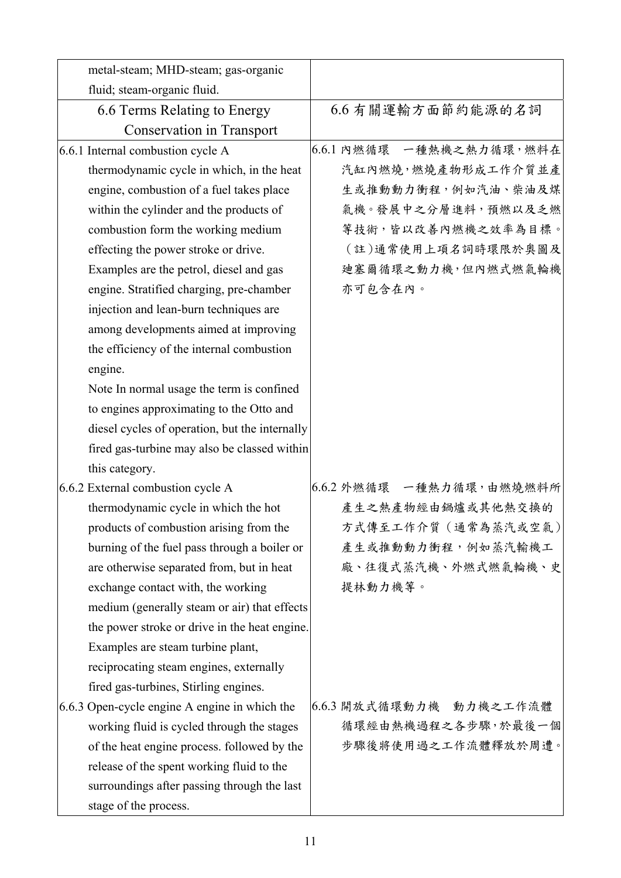| metal-steam; MHD-steam; gas-organic            |                          |
|------------------------------------------------|--------------------------|
| fluid; steam-organic fluid.                    |                          |
|                                                | 6.6 有關運輸方面節約能源的名詞        |
| 6.6 Terms Relating to Energy                   |                          |
| <b>Conservation in Transport</b>               |                          |
| 6.6.1 Internal combustion cycle A              | 6.6.1 內燃循環 一種熱機之熱力循環,燃料在 |
| thermodynamic cycle in which, in the heat      | 汽缸內燃燒,燃燒產物形成工作介質並產       |
| engine, combustion of a fuel takes place       | 生或推動動力衝程,例如汽油、柴油及煤       |
| within the cylinder and the products of        | 氣機。發展中之分層進料,預燃以及乏燃       |
| combustion form the working medium             | 等技術,皆以改善內燃機之效率為目標。       |
| effecting the power stroke or drive.           | (註)通常使用上項名詞時環限於奧圖及       |
| Examples are the petrol, diesel and gas        | 迪塞爾循環之動力機,但內燃式燃氣輪機       |
| engine. Stratified charging, pre-chamber       | 亦可包含在內。                  |
| injection and lean-burn techniques are         |                          |
| among developments aimed at improving          |                          |
| the efficiency of the internal combustion      |                          |
| engine.                                        |                          |
| Note In normal usage the term is confined      |                          |
| to engines approximating to the Otto and       |                          |
| diesel cycles of operation, but the internally |                          |
| fired gas-turbine may also be classed within   |                          |
| this category.                                 |                          |
| 6.6.2 External combustion cycle A              | 6.6.2 外燃循環 一種熱力循環,由燃燒燃料所 |
| thermodynamic cycle in which the hot           | 產生之熱產物經由鍋爐或其他熱交換的        |
| products of combustion arising from the        | 方式傳至工作介質 (通常為蒸汽或空氣)      |
| burning of the fuel pass through a boiler or   | 產生或推動動力衝程,例如蒸汽輸機工        |
| are otherwise separated from, but in heat      | 廠、往復式蒸汽機、外燃式燃氣輪機、史       |
| exchange contact with, the working             | 提林動力機等。                  |
| medium (generally steam or air) that effects   |                          |
| the power stroke or drive in the heat engine.  |                          |
| Examples are steam turbine plant,              |                          |
| reciprocating steam engines, externally        |                          |
| fired gas-turbines, Stirling engines.          |                          |
| 6.6.3 Open-cycle engine A engine in which the  | 6.6.3 開放式循環動力機 動力機之工作流體  |
| working fluid is cycled through the stages     | 循環經由熱機過程之各步驟,於最後一個       |
| of the heat engine process. followed by the    | 步驟後將使用過之工作流體釋放於周遭。       |
| release of the spent working fluid to the      |                          |
| surroundings after passing through the last    |                          |
| stage of the process.                          |                          |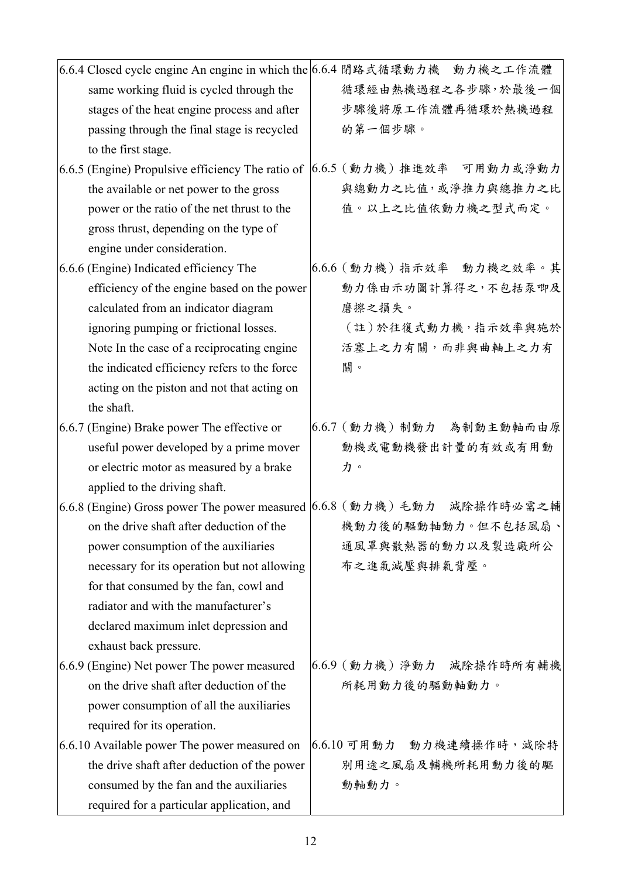| 6.6.4 Closed cycle engine An engine in which the 6.6.4 閉路式循環動力機 動力機之工作流體                                                                 |                                                                                        |
|------------------------------------------------------------------------------------------------------------------------------------------|----------------------------------------------------------------------------------------|
| same working fluid is cycled through the                                                                                                 | 循環經由熱機過程之各步驟,於最後一個                                                                     |
| stages of the heat engine process and after                                                                                              | 步驟後將原工作流體再循環於熱機過程                                                                      |
| passing through the final stage is recycled                                                                                              | 的第一個步驟。                                                                                |
| to the first stage.                                                                                                                      |                                                                                        |
|                                                                                                                                          | 6.6.5 (Engine) Propulsive efficiency The ratio of $(6.6.5 \in \text{m})$ 推進效率 可用動力或淨動力 |
| the available or net power to the gross                                                                                                  | 與總動力之比值,或淨推力與總推力之比                                                                     |
| power or the ratio of the net thrust to the                                                                                              | 值。以上之比值依動力機之型式而定。                                                                      |
| gross thrust, depending on the type of                                                                                                   |                                                                                        |
| engine under consideration.                                                                                                              |                                                                                        |
| 6.6.6 (Engine) Indicated efficiency The                                                                                                  | 6.6.6 (動力機) 指示效率 動力機之效率。其                                                              |
| efficiency of the engine based on the power                                                                                              | 動力係由示功圖計算得之,不包括泵唧及                                                                     |
| calculated from an indicator diagram                                                                                                     | 磨擦之損失。                                                                                 |
| ignoring pumping or frictional losses.                                                                                                   | (註)於往復式動力機,指示效率與施於                                                                     |
| Note In the case of a reciprocating engine                                                                                               | 活塞上之力有關,而非與曲軸上之力有                                                                      |
| the indicated efficiency refers to the force                                                                                             | 關。                                                                                     |
| acting on the piston and not that acting on                                                                                              |                                                                                        |
| the shaft.                                                                                                                               |                                                                                        |
| 6.6.7 (Engine) Brake power The effective or                                                                                              | 6.6.7 (動力機) 制動力 為制動主動軸而由原                                                              |
| useful power developed by a prime mover                                                                                                  | 動機或電動機發出計量的有效或有用動                                                                      |
| or electric motor as measured by a brake                                                                                                 | 力。                                                                                     |
| applied to the driving shaft.                                                                                                            |                                                                                        |
| 6.6.8 (Engine) Gross power The power measured $(6.6.8 \text{ } (\text{\textsterling} \text{m}) \text{ +} \text{\textsterling} \text{m})$ | 減除操作時必需之輔                                                                              |
| on the drive shaft after deduction of the                                                                                                | 機動力後的驅動軸動力。但不包括風扇、                                                                     |
| power consumption of the auxiliaries                                                                                                     | 通風罩與散熱器的動力以及製造廠所公                                                                      |
| necessary for its operation but not allowing                                                                                             | 布之進氣減壓與排氣背壓。                                                                           |
| for that consumed by the fan, cowl and                                                                                                   |                                                                                        |
| radiator and with the manufacturer's                                                                                                     |                                                                                        |
| declared maximum inlet depression and                                                                                                    |                                                                                        |
| exhaust back pressure.                                                                                                                   |                                                                                        |
| 6.6.9 (Engine) Net power The power measured                                                                                              | 6.6.9 (動力機) 淨動力 減除操作時所有輔機                                                              |
| on the drive shaft after deduction of the                                                                                                | 所耗用動力後的驅動軸動力。                                                                          |
| power consumption of all the auxiliaries                                                                                                 |                                                                                        |
| required for its operation.                                                                                                              |                                                                                        |
| 6.6.10 Available power The power measured on                                                                                             | 6.6.10 可用動力 動力機連續操作時,減除特                                                               |
| the drive shaft after deduction of the power                                                                                             | 別用途之風扇及輔機所耗用動力後的驅                                                                      |
| consumed by the fan and the auxiliaries                                                                                                  | 動軸動力。                                                                                  |
| required for a particular application, and                                                                                               |                                                                                        |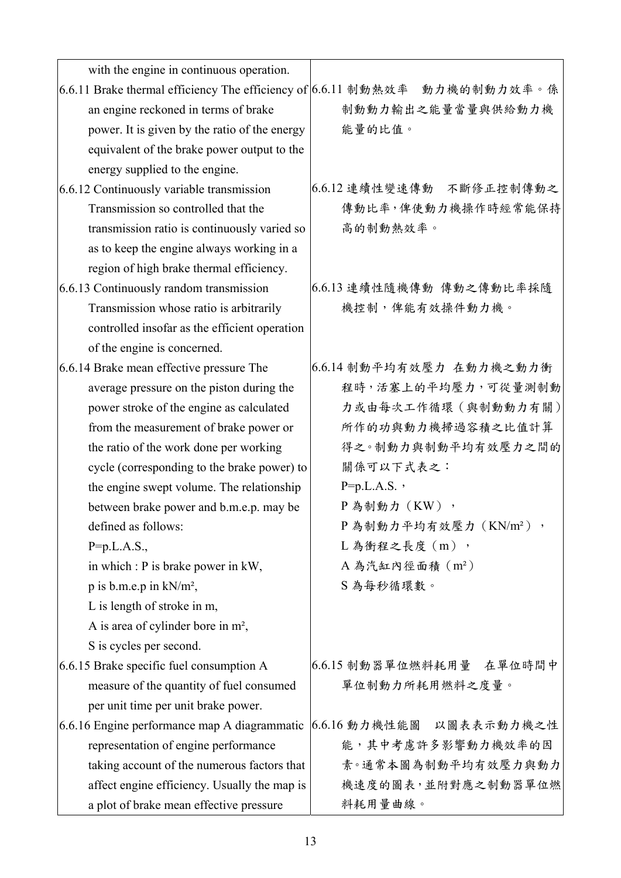| with the engine in continuous operation.                                   |                                   |
|----------------------------------------------------------------------------|-----------------------------------|
| 6.6.11 Brake thermal efficiency The efficiency of 6.6.11 制動熱效率 動力機的制動力效率。係 |                                   |
| an engine reckoned in terms of brake                                       | 制動動力輸出之能量當量與供給動力機                 |
| power. It is given by the ratio of the energy                              | 能量的比值。                            |
| equivalent of the brake power output to the                                |                                   |
| energy supplied to the engine.                                             |                                   |
| 6.6.12 Continuously variable transmission                                  | 6.6.12 連續性變速傳動 不斷修正控制傳動之          |
| Transmission so controlled that the                                        | 傳動比率,俾使動力機操作時經常能保持                |
| transmission ratio is continuously varied so                               | 高的制動熱效率。                          |
| as to keep the engine always working in a                                  |                                   |
| region of high brake thermal efficiency.                                   |                                   |
| 6.6.13 Continuously random transmission                                    | 6.6.13 連續性隨機傳動 傳動之傳動比率採隨          |
| Transmission whose ratio is arbitrarily                                    | 機控制,俾能有效操件動力機。                    |
| controlled insofar as the efficient operation                              |                                   |
| of the engine is concerned.                                                |                                   |
| 6.6.14 Brake mean effective pressure The                                   | 6.6.14 制動平均有效壓力 在動力機之動力衝          |
| average pressure on the piston during the                                  | 程時,活塞上的平均壓力,可從量測制動                |
| power stroke of the engine as calculated                                   | 力或由每次工作循環 (與制動動力有關)               |
| from the measurement of brake power or                                     | 所作的功與動力機掃過容積之比值計算                 |
| the ratio of the work done per working                                     | 得之。制動力與制動平均有效壓力之間的                |
| cycle (corresponding to the brake power) to                                | 關係可以下式表之:                         |
| the engine swept volume. The relationship                                  | $P=p.L.A.S.$                      |
| between brake power and b.m.e.p. may be                                    | P為制動力 (KW),                       |
| defined as follows:                                                        | P為制動力平均有效壓力 (KN/m <sup>2</sup> ), |
| $P=p.L.A.S.,$                                                              | L 為衝程之長度 (m),                     |
| in which : P is brake power in kW,                                         | A 為汽缸內徑面積 (m2)                    |
| $p$ is b.m.e.p in kN/m <sup>2</sup> ,                                      | S為每秒循環數。                          |
| L is length of stroke in m,                                                |                                   |
| A is area of cylinder bore in $m^2$ ,                                      |                                   |
| S is cycles per second.                                                    |                                   |
| 6.6.15 Brake specific fuel consumption A                                   | 6.6.15 制動器單位燃料耗用量 在單位時間中          |
| measure of the quantity of fuel consumed                                   | 單位制動力所耗用燃料之度量。                    |
| per unit time per unit brake power.                                        |                                   |
| 6.6.16 Engine performance map A diagrammatic                               | 6.6.16 動力機性能圖 以圖表表示動力機之性          |
| representation of engine performance                                       | 能,其中考慮許多影響動力機效率的因                 |
| taking account of the numerous factors that                                | 素。通常本圖為制動平均有效壓力與動力                |
| affect engine efficiency. Usually the map is                               | 機速度的圖表,並附對應之制動器單位燃                |
| a plot of brake mean effective pressure                                    | 料耗用量曲線。                           |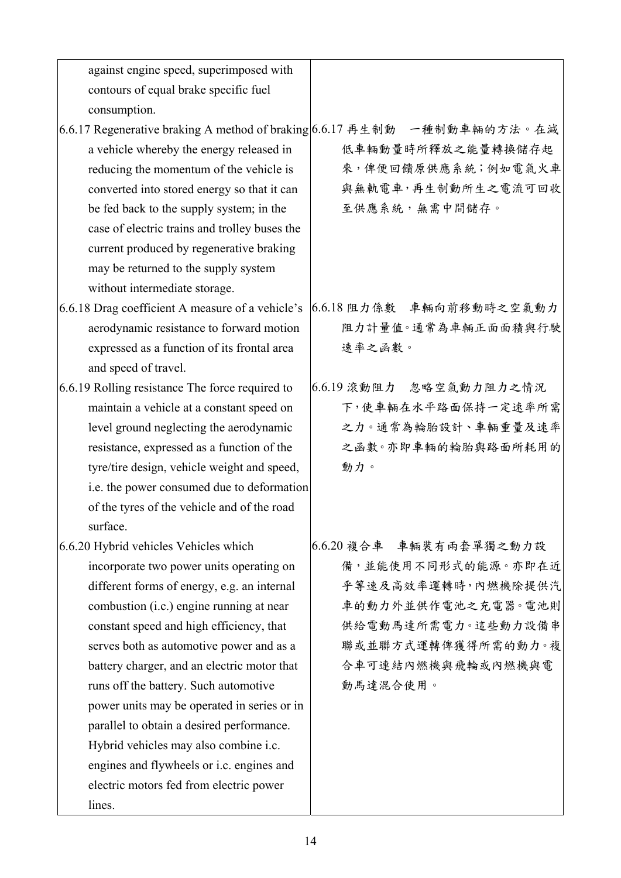| against engine speed, superimposed with          |                                                                          |
|--------------------------------------------------|--------------------------------------------------------------------------|
| contours of equal brake specific fuel            |                                                                          |
| consumption.                                     |                                                                          |
|                                                  | 6.6.17 Regenerative braking A method of braking 6.6.17 再生制動 一種制動車輛的方法。在減 |
| a vehicle whereby the energy released in         | 低車輛動量時所釋放之能量轉換儲存起                                                        |
| reducing the momentum of the vehicle is          | 來,俾便回饋原供應系統;例如電氣火車                                                       |
| converted into stored energy so that it can      | 與無軌電車,再生制動所生之電流可回收                                                       |
| be fed back to the supply system; in the         | 至供應系統,無需中間儲存。                                                            |
| case of electric trains and trolley buses the    |                                                                          |
| current produced by regenerative braking         |                                                                          |
| may be returned to the supply system             |                                                                          |
| without intermediate storage.                    |                                                                          |
| 6.6.18 Drag coefficient A measure of a vehicle's | 6.6.18 阻力係數 車輛向前移動時之空氣動力                                                 |
| aerodynamic resistance to forward motion         | 阻力計量值。通常為車輛正面面積與行駛                                                       |
| expressed as a function of its frontal area      | 速率之函數。                                                                   |
| and speed of travel.                             |                                                                          |
| 6.6.19 Rolling resistance The force required to  | 6.6.19 滾動阻力 忽略空氣動力阻力之情況                                                  |
| maintain a vehicle at a constant speed on        | 下,使車輛在水平路面保持一定速率所需                                                       |
| level ground neglecting the aerodynamic          | 之力。通常為輪胎設計、車輛重量及速率                                                       |
| resistance, expressed as a function of the       | 之函數。亦即車輛的輪胎與路面所耗用的                                                       |
| tyre/tire design, vehicle weight and speed,      | 動力。                                                                      |
| i.e. the power consumed due to deformation       |                                                                          |
| of the tyres of the vehicle and of the road      |                                                                          |
| surface.                                         |                                                                          |
| 6.6.20 Hybrid vehicles Vehicles which            | 6.6.20 複合車 車輛裝有兩套單獨之動力設                                                  |
| incorporate two power units operating on         | 備,並能使用不同形式的能源。亦即在近                                                       |
| different forms of energy, e.g. an internal      | 乎等速及高效率運轉時,內燃機除提供汽                                                       |
| combustion (i.c.) engine running at near         | 車的動力外並供作電池之充電器。電池則                                                       |
| constant speed and high efficiency, that         | 供給電動馬達所需電力。這些動力設備串                                                       |
| serves both as automotive power and as a         | 聯或並聯方式運轉俾獲得所需的動力。複                                                       |
| battery charger, and an electric motor that      | 合車可連結內燃機與飛輪或內燃機與電                                                        |
| runs off the battery. Such automotive            | 動馬達混合使用。                                                                 |
| power units may be operated in series or in      |                                                                          |
| parallel to obtain a desired performance.        |                                                                          |
| Hybrid vehicles may also combine i.c.            |                                                                          |
| engines and flywheels or i.c. engines and        |                                                                          |
| electric motors fed from electric power          |                                                                          |
| lines.                                           |                                                                          |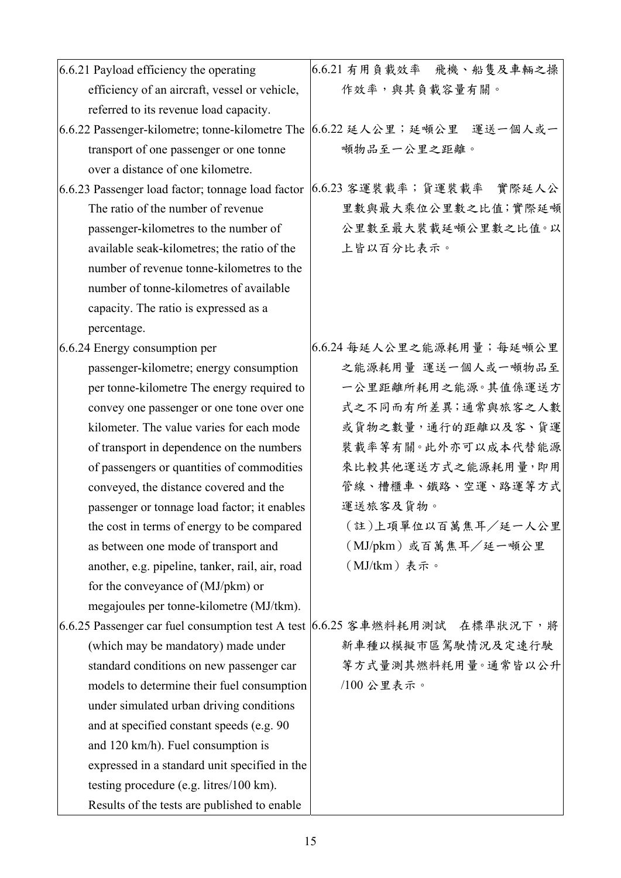| 6.6.21 Payload efficiency the operating                                     | 6.6.21 有用負載效率 飛機、船隻及車輛之操 |
|-----------------------------------------------------------------------------|--------------------------|
| efficiency of an aircraft, vessel or vehicle,                               | 作效率,與其負載容量有關。            |
| referred to its revenue load capacity.                                      |                          |
| 6.6.22 Passenger-kilometre; tonne-kilometre The                             | 6.6.22 延人公里;延頓公里 運送一個人或一 |
| transport of one passenger or one tonne                                     | 噸物品至一公里之距離。              |
| over a distance of one kilometre.                                           |                          |
| 6.6.23 Passenger load factor; tonnage load factor                           | 6.6.23 客運裝載率;貨運裝載率 實際延人公 |
| The ratio of the number of revenue                                          | 里數與最大乘位公里數之比值;實際延噸       |
| passenger-kilometres to the number of                                       | 公里數至最大裝載延頓公里數之比值。以       |
| available seak-kilometres; the ratio of the                                 | 上皆以百分比表示。                |
| number of revenue tonne-kilometres to the                                   |                          |
| number of tonne-kilometres of available                                     |                          |
| capacity. The ratio is expressed as a                                       |                          |
| percentage.                                                                 |                          |
| 6.6.24 Energy consumption per                                               | 6.6.24 每延人公里之能源耗用量;每延噸公里 |
| passenger-kilometre; energy consumption                                     | 之能源耗用量 運送一個人或一噸物品至       |
| per tonne-kilometre The energy required to                                  | 一公里距離所耗用之能源。其值係運送方       |
| convey one passenger or one tone over one                                   | 式之不同而有所差異;通常與旅客之人數       |
| kilometer. The value varies for each mode                                   | 或貨物之數量,通行的距離以及客、貨運       |
| of transport in dependence on the numbers                                   | 裝載率等有關。此外亦可以成本代替能源       |
| of passengers or quantities of commodities                                  | 來比較其他運送方式之能源耗用量,即用       |
| conveyed, the distance covered and the                                      | 管線、槽櫃車、鐵路、空運、路運等方式       |
| passenger or tonnage load factor; it enables                                | 運送旅客及貨物。                 |
| the cost in terms of energy to be compared                                  | (註)上項單位以百萬焦耳/延一人公里       |
| as between one mode of transport and                                        | (MJ/pkm) 或百萬焦耳/延一噸公里     |
| another, e.g. pipeline, tanker, rail, air, road                             | (MJ/tkm)表示。              |
| for the conveyance of (MJ/pkm) or                                           |                          |
| megajoules per tonne-kilometre (MJ/tkm).                                    |                          |
| 6.6.25 Passenger car fuel consumption test A test 6.6.25 客車燃料耗用測試 在標準狀況下, 將 |                          |
| (which may be mandatory) made under                                         | 新車種以模擬市區駕駛情況及定速行駛        |
| standard conditions on new passenger car                                    | 等方式量測其燃料耗用量。通常皆以公升       |
| models to determine their fuel consumption                                  | /100 公里表示。               |
| under simulated urban driving conditions                                    |                          |
| and at specified constant speeds (e.g. 90)                                  |                          |
| and 120 km/h). Fuel consumption is                                          |                          |
| expressed in a standard unit specified in the                               |                          |
| testing procedure (e.g. litres/100 km).                                     |                          |
| Results of the tests are published to enable                                |                          |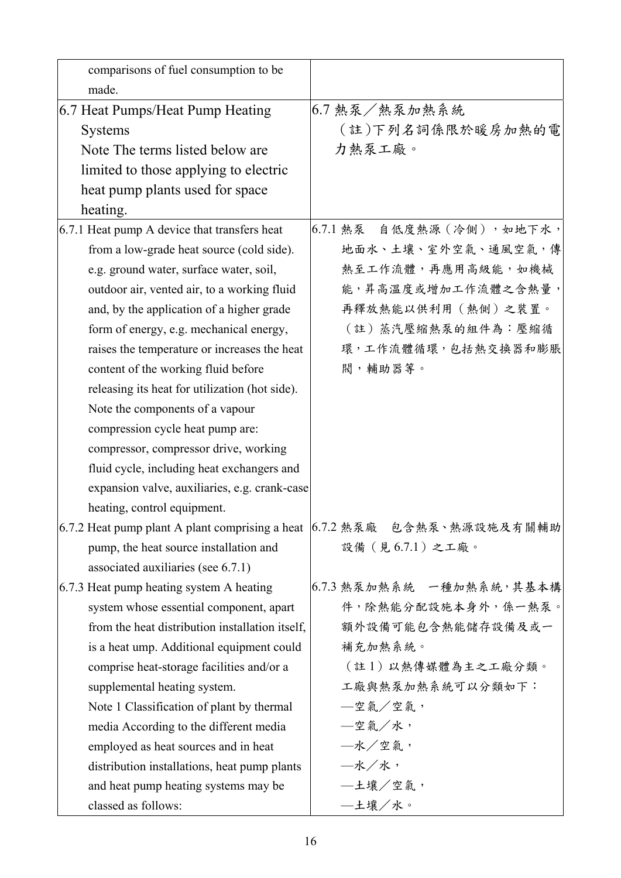| comparisons of fuel consumption to be           |                                                                             |
|-------------------------------------------------|-----------------------------------------------------------------------------|
| made.                                           |                                                                             |
| 6.7 Heat Pumps/Heat Pump Heating                | 6.7 熱泵/熱泵加熱系統                                                               |
| <b>Systems</b>                                  | (註)下列名詞係限於暖房加熱的電                                                            |
| Note The terms listed below are                 | 力熱泵工廠。                                                                      |
| limited to those applying to electric           |                                                                             |
| heat pump plants used for space                 |                                                                             |
| heating.                                        |                                                                             |
| 6.7.1 Heat pump A device that transfers heat    | 6.7.1 熱泵 自低度熱源 (冷側), 如地下水,                                                  |
| from a low-grade heat source (cold side).       | 地面水、土壤、室外空氣、通風空氣,傳                                                          |
| e.g. ground water, surface water, soil,         | 熱至工作流體,再應用高級能,如機械                                                           |
| outdoor air, vented air, to a working fluid     | 能,昇高溫度或增加工作流體之含熱量,                                                          |
| and, by the application of a higher grade       | 再釋放熱能以供利用(熱側)之裝置。                                                           |
| form of energy, e.g. mechanical energy,         | (註)蒸汽壓縮熱泵的組件為:壓縮循                                                           |
| raises the temperature or increases the heat    | 環,工作流體循環,包括熱交換器和膨脹                                                          |
| content of the working fluid before             | 閥,輔助器等。                                                                     |
| releasing its heat for utilization (hot side).  |                                                                             |
| Note the components of a vapour                 |                                                                             |
| compression cycle heat pump are:                |                                                                             |
| compressor, compressor drive, working           |                                                                             |
| fluid cycle, including heat exchangers and      |                                                                             |
| expansion valve, auxiliaries, e.g. crank-case   |                                                                             |
| heating, control equipment.                     |                                                                             |
|                                                 | 6.7.2 Heat pump plant A plant comprising a heat  6.7.2 熱泵廠   包含熱泵、熱源設施及有關輔助 |
| pump, the heat source installation and          | 設備 (見6.7.1) 之工廠。                                                            |
| associated auxiliaries (see 6.7.1)              |                                                                             |
| 6.7.3 Heat pump heating system A heating        | 6.7.3 熱泵加熱系統 一種加熱系統,其基本構                                                    |
| system whose essential component, apart         | 件,除熱能分配設施本身外,係一熱泵。                                                          |
| from the heat distribution installation itself, | 額外設備可能包含熱能儲存設備及或一                                                           |
| is a heat ump. Additional equipment could       | 補充加熱系統。                                                                     |
| comprise heat-storage facilities and/or a       | (註1)以熱傳媒體為主之工廠分類。                                                           |
| supplemental heating system.                    | 工廠與熱泵加熱系統可以分類如下:                                                            |
| Note 1 Classification of plant by thermal       | —空氣/空氣,                                                                     |
| media According to the different media          | —空氣/水,                                                                      |
| employed as heat sources and in heat            | 一水/空氣,                                                                      |
| distribution installations, heat pump plants    | —水/水,                                                                       |
| and heat pump heating systems may be            | —土壤/空氣,                                                                     |
| classed as follows:                             | —土壤/水。                                                                      |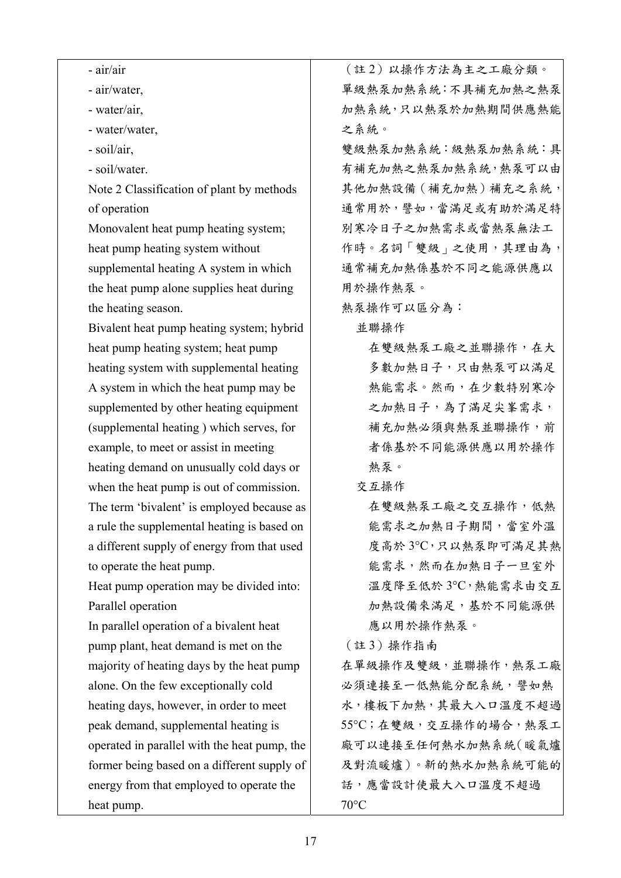| - air/air                                    | (註2)以操作方法為主之工廠分類。    |
|----------------------------------------------|----------------------|
| - air/water,                                 | 單級熱泵加熱系統:不具補充加熱之熱泵   |
| - water/air,                                 | 加熱系統,只以熱泵於加熱期間供應熱能   |
| - water/water,                               | 之系統。                 |
| - soil/air,                                  | 雙級熱泵加熱系統:級熱泵加熱系統:具   |
| - soil/water.                                | 有補充加熱之熱泵加熱系統,熱泵可以由   |
| Note 2 Classification of plant by methods    | 其他加熱設備 (補充加熱)補充之系統,  |
| of operation                                 | 通常用於,譬如,當滿足或有助於滿足特   |
| Monovalent heat pump heating system;         | 別寒冷日子之加熱需求或當熱泵無法工    |
| heat pump heating system without             | 作時。名詞「雙級」之使用,其理由為,   |
| supplemental heating A system in which       | 通常補充加熱係基於不同之能源供應以    |
| the heat pump alone supplies heat during     | 用於操作熱泵。              |
| the heating season.                          | 熱泵操作可以區分為:           |
| Bivalent heat pump heating system; hybrid    | 並聯操作                 |
| heat pump heating system; heat pump          | 在雙級熱泵工廠之並聯操作,在大      |
| heating system with supplemental heating     | 多數加熱日子,只由熱泵可以滿足      |
| A system in which the heat pump may be       | 熱能需求。然而,在少數特別寒冷      |
| supplemented by other heating equipment      | 之加熱日子,為了滿足尖峯需求,      |
| (supplemental heating) which serves, for     | 補充加熱必須與熱泵並聯操作,前      |
| example, to meet or assist in meeting        | 者係基於不同能源供應以用於操作      |
| heating demand on unusually cold days or     | 熱泵。                  |
| when the heat pump is out of commission.     | 交互操作                 |
| The term 'bivalent' is employed because as   | 在雙級熱泵工廠之交互操作,低熱      |
| a rule the supplemental heating is based on  | 能需求之加熱日子期間,當室外溫      |
| a different supply of energy from that used  | 度高於3°C,只以熱泵即可滿足其熱    |
| to operate the heat pump.                    | 能需求,然而在加熱日子一旦室外      |
| Heat pump operation may be divided into:     | 溫度降至低於3℃,熱能需求由交互     |
| Parallel operation                           | 加熱設備來滿足, 基於不同能源供     |
| In parallel operation of a bivalent heat     | 應以用於操作熱泵。            |
| pump plant, heat demand is met on the        | (註3) 操作指南            |
| majority of heating days by the heat pump    | 在單級操作及雙級,並聯操作,熱泵工廠   |
| alone. On the few exceptionally cold         | 必須連接至一低熱能分配系統,譬如熱    |
| heating days, however, in order to meet      | 水,樓板下加熱,其最大入口溫度不超過   |
| peak demand, supplemental heating is         | 55°C;在雙級,交互操作的場合,熱泵工 |
| operated in parallel with the heat pump, the | 廠可以連接至任何熱水加熱系統(暖氣爐   |
| former being based on a different supply of  | 及對流暖爐)。新的熱水加熱系統可能的   |
| energy from that employed to operate the     | 話,應當設計使最大入口溫度不超過     |
| heat pump.                                   | $70^{\circ}$ C       |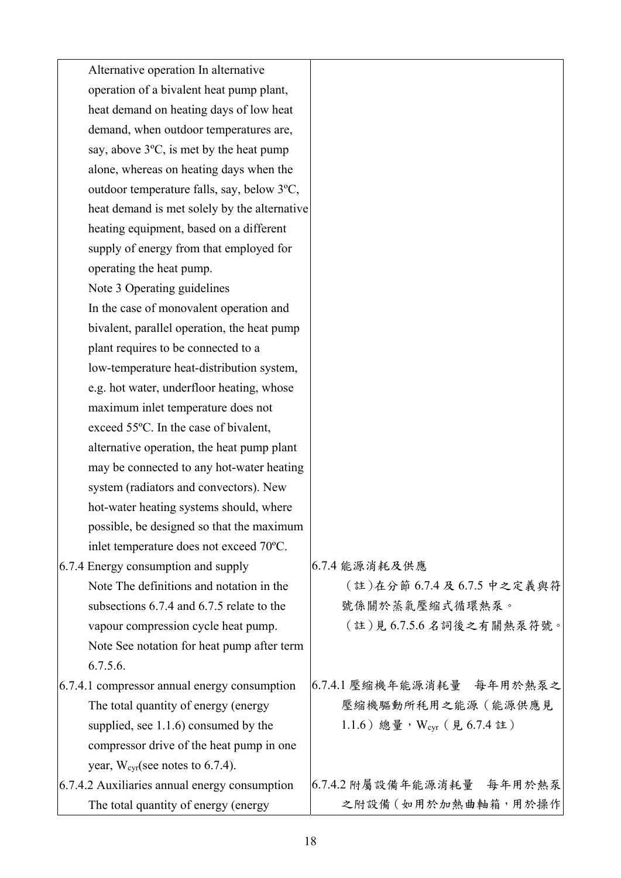| Alternative operation In alternative              |                             |
|---------------------------------------------------|-----------------------------|
| operation of a bivalent heat pump plant,          |                             |
| heat demand on heating days of low heat           |                             |
| demand, when outdoor temperatures are,            |                             |
| say, above $3^{\circ}C$ , is met by the heat pump |                             |
| alone, whereas on heating days when the           |                             |
| outdoor temperature falls, say, below 3°C,        |                             |
| heat demand is met solely by the alternative      |                             |
| heating equipment, based on a different           |                             |
| supply of energy from that employed for           |                             |
| operating the heat pump.                          |                             |
| Note 3 Operating guidelines                       |                             |
| In the case of monovalent operation and           |                             |
| bivalent, parallel operation, the heat pump       |                             |
| plant requires to be connected to a               |                             |
| low-temperature heat-distribution system,         |                             |
| e.g. hot water, underfloor heating, whose         |                             |
| maximum inlet temperature does not                |                             |
| exceed 55°C. In the case of bivalent,             |                             |
| alternative operation, the heat pump plant        |                             |
| may be connected to any hot-water heating         |                             |
| system (radiators and convectors). New            |                             |
| hot-water heating systems should, where           |                             |
| possible, be designed so that the maximum         |                             |
| inlet temperature does not exceed 70°C.           |                             |
| 6.7.4 Energy consumption and supply               | 6.7.4 能源消耗及供應               |
| Note The definitions and notation in the          | (註)在分節 6.7.4 及 6.7.5 中之定義與符 |
| subsections 6.7.4 and 6.7.5 relate to the         | 號係關於蒸氣壓縮式循環熱泵。              |
| vapour compression cycle heat pump.               | (註)見6.7.5.6名詞後之有關熱泵符號。      |
| Note See notation for heat pump after term        |                             |
| 6.7.5.6.                                          |                             |
| 6.7.4.1 compressor annual energy consumption      | 6.7.4.1 壓縮機年能源消耗量 每年用於熱泵之   |
| The total quantity of energy (energy              | 壓縮機驅動所耗用之能源(能源供應見           |
| supplied, see $1.1.6$ ) consumed by the           | 1.1.6) 總量, Wcyr (見6.7.4註)   |
| compressor drive of the heat pump in one          |                             |
| year, $W_{\text{cyr}}$ (see notes to 6.7.4).      |                             |
| 6.7.4.2 Auxiliaries annual energy consumption     | 6.7.4.2 附屬設備年能源消耗量 每年用於熱泵   |
| The total quantity of energy (energy              | 之附設備 (如用於加熱曲軸箱,用於操作         |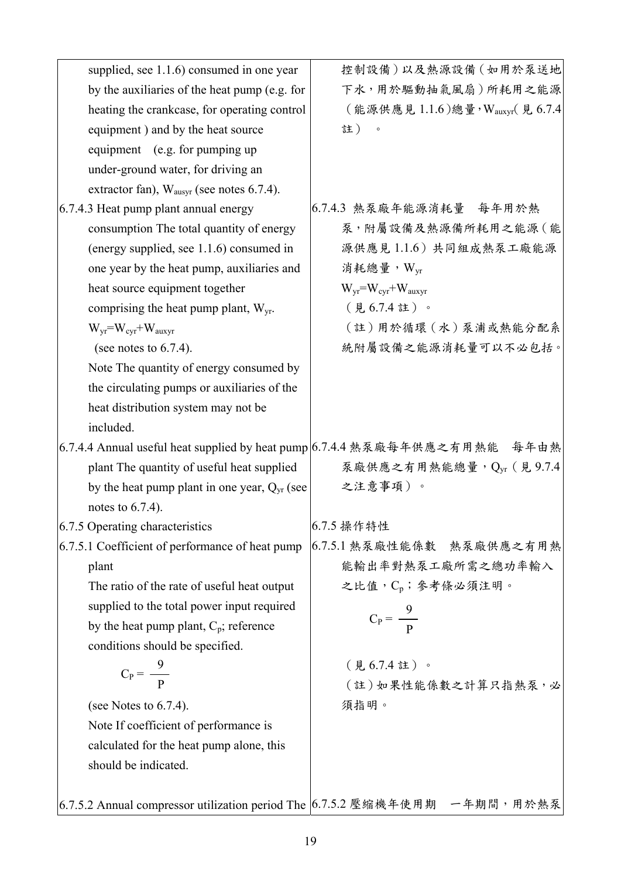| supplied, see 1.1.6) consumed in one year                                   | 控制設備)以及熱源設備(如用於泵送地                                                         |
|-----------------------------------------------------------------------------|----------------------------------------------------------------------------|
| by the auxiliaries of the heat pump (e.g. for                               | 下水,用於驅動抽氣風扇)所耗用之能源                                                         |
| heating the crankcase, for operating control                                | (能源供應見1.1.6)總量, Wauxyr(見6.7.4                                              |
| equipment) and by the heat source                                           | 註)<br>$\circ$                                                              |
| equipment (e.g. for pumping up                                              |                                                                            |
| under-ground water, for driving an                                          |                                                                            |
| extractor fan), $W_{\text{augvr}}$ (see notes 6.7.4).                       |                                                                            |
| 6.7.4.3 Heat pump plant annual energy                                       | 6.7.4.3 熱泵廠年能源消耗量 每年用於熱                                                    |
| consumption The total quantity of energy                                    | 泵,附屬設備及熱源備所耗用之能源(能                                                         |
| (energy supplied, see 1.1.6) consumed in                                    | 源供應見1.1.6)共同組成熱泵工廠能源                                                       |
| one year by the heat pump, auxiliaries and                                  | 消耗總量, $W_{vr}$                                                             |
| heat source equipment together                                              | $W_{yr} = W_{cyr} + W_{auxyr}$                                             |
| comprising the heat pump plant, $W_{yr}$ .                                  | (見6.7.4註)。                                                                 |
| $W_{vr} = W_{cvr} + W_{auxvr}$                                              | (註)用於循環 (水)泵浦或熱能分配系                                                        |
| (see notes to $6.7.4$ ).                                                    | 統附屬設備之能源消耗量可以不必包括。                                                         |
| Note The quantity of energy consumed by                                     |                                                                            |
| the circulating pumps or auxiliaries of the                                 |                                                                            |
| heat distribution system may not be                                         |                                                                            |
| included.                                                                   |                                                                            |
|                                                                             | 6.7.4.4 Annual useful heat supplied by heat pump 6.7.4.4 熱泵廠每年供應之有用熱能 每年由熱 |
| plant The quantity of useful heat supplied                                  | 泵廠供應之有用熱能總量, Qyr (見9.7.4                                                   |
| by the heat pump plant in one year, $Q_{yr}$ (see                           | 之注意事項)。                                                                    |
| notes to $6.7.4$ ).                                                         |                                                                            |
| 6.7.5 Operating characteristics                                             | 6.7.5 操作特性                                                                 |
| 6.7.5.1 Coefficient of performance of heat pump                             | 6.7.5.1 熱泵廠性能係數 熱泵廠供應之有用熱                                                  |
| plant                                                                       | 能輸出率對熱泵工廠所需之總功率輸入                                                          |
| The ratio of the rate of useful heat output                                 | 之比值, Cp; 參考條必須注明。                                                          |
| supplied to the total power input required                                  |                                                                            |
| by the heat pump plant, $C_p$ ; reference                                   | $C_P = \frac{9}{R}$                                                        |
| conditions should be specified.                                             |                                                                            |
| $C_P = \frac{9}{P}$                                                         | (見6.7.4註)。                                                                 |
|                                                                             | (註)如果性能係數之計算只指熱泵,必                                                         |
| (see Notes to $6.7.4$ ).                                                    | 須指明。                                                                       |
| Note If coefficient of performance is                                       |                                                                            |
| calculated for the heat pump alone, this                                    |                                                                            |
| should be indicated.                                                        |                                                                            |
|                                                                             |                                                                            |
| 6.7.5.2 Annual compressor utilization period The  6.7.5.2 壓縮機年使用期 一年期間,用於熱泵 |                                                                            |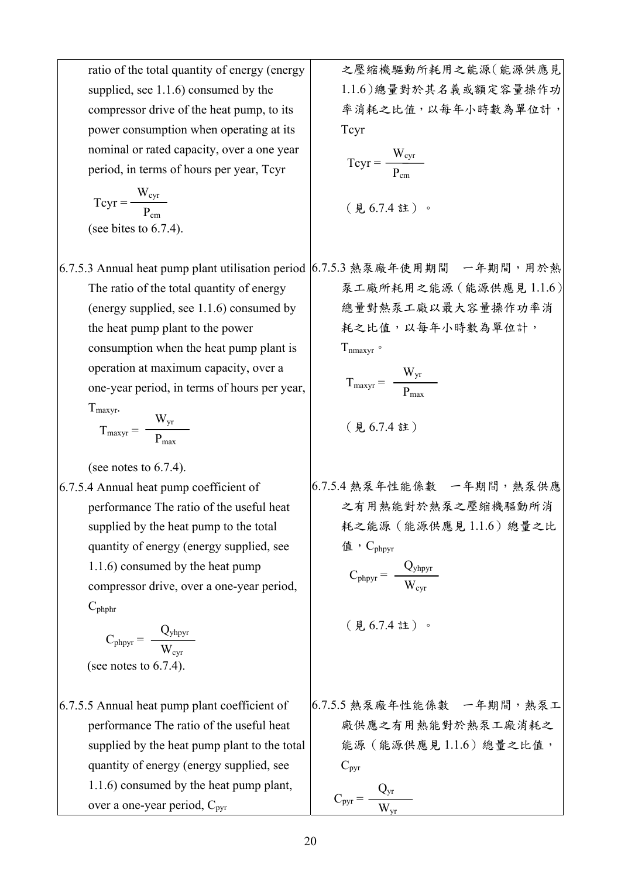ratio of the total quantity of energy (energy supplied, see 1.1.6) consumed by the compressor drive of the heat pump, to its power consumption when operating at its nominal or rated capacity, over a one year period, in terms of hours per year, Tcyr

$$
Tcyr = \frac{W_{cyr}}{P_{cm}}
$$
  
(see bites to 6.7.4).

6.7.5.3 Annual heat pump plant utilisation period | 6.7.5.3 熱泵廠年使用期間 - 一年期間,用於熱 The ratio of the total quantity of energy (energy supplied, see 1.1.6) consumed by the heat pump plant to the power consumption when the heat pump plant is operation at maximum capacity, over a one-year period, in terms of hours per year,

$$
T_{\text{maxyr}}.
$$

$$
T_{\text{maxyr}} = \frac{W_{\text{yr}}}{P_{\text{max}}}
$$

(see notes to 6.7.4).

6.7.5.4 Annual heat pump coefficient of performance The ratio of the useful heat supplied by the heat pump to the total quantity of energy (energy supplied, see 1.1.6) consumed by the heat pump compressor drive, over a one-year period,  $C_{\text{phphr}}$ 

$$
C_{\text{phyr}} = \frac{Q_{\text{yhypyr}}}{W_{\text{cyr}}}
$$
\n(see notes to 6.7.4).

6.7.5.5 Annual heat pump plant coefficient of performance The ratio of the useful heat supplied by the heat pump plant to the total quantity of energy (energy supplied, see 1.1.6) consumed by the heat pump plant, over a one-year period,  $C_{\text{pvr}}$ 

之壓縮機驅動所耗用之能源(能源供應見 1.1.6)總量對於其名義或額定容量操作功 率消耗之比值,以每年小時數為單位計, Tcyr

$$
Tcyr = \frac{W_{cyr}}{P_{cm}}
$$

$$
(\nexists 6.7.4 \nexists) \cdot
$$

泵工廠所耗用之能源(能源供應見 1.1.6) 總量對熱泵工廠以最大容量操作功率消 耗之比值,以每年小時數為單位計,  $T_{\text{nnaxvr}}$ 。

$$
T_{maxyr} = \frac{W_{yr}}{P_{max}}
$$

$$
(\nexists 6.7.4 \n 22.5
$$

6.7.5.4 熱泵年性能係數 一年期間,熱泵供應 之有用熱能對於熱泵之壓縮機驅動所消 耗之能源(能源供應見 1.1.6)總量之比 值,  $C_{\text{phovr}}$ 

$$
C_{\text{phyr}} = \ \frac{Q_{\text{yhypyr}}}{W_{\text{cyr}}}
$$

(見 6.7.4 註)。

6.7.5.5 熱泵廠年性能係數 一年期間,熱泵工 廠供應之有用熱能對於熱泵工廠消耗之 能源(能源供應見 1.1.6)總量之比值,  $C_{\text{pyr}}$ 

$$
C_{pyr} = \frac{Q_{yr}}{W_{vr}}
$$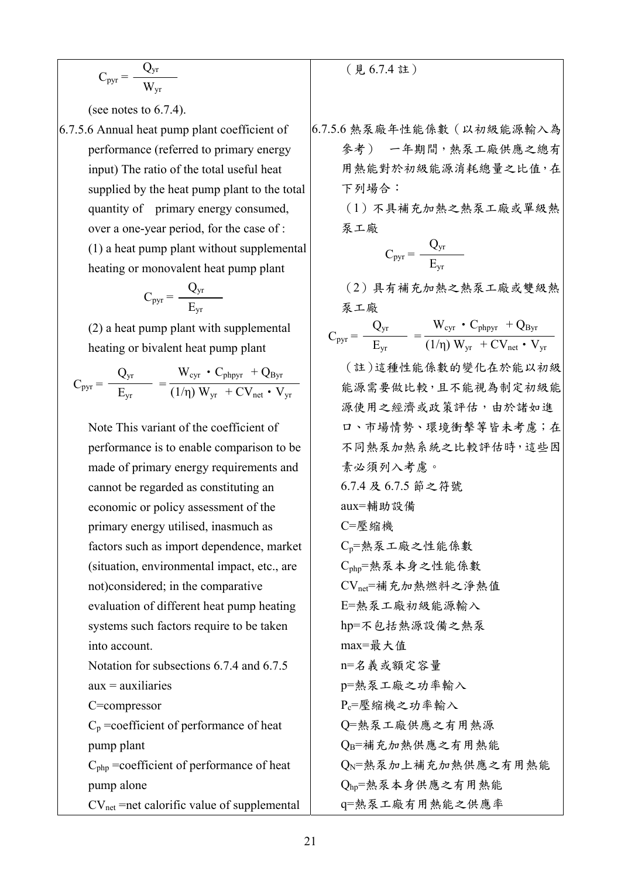$$
C_{pyr} = \frac{Q_{yr}}{W_{yr}}
$$

(see notes to 6.7.4).

6.7.5.6 Annual heat pump plant coefficient of performance (referred to primary energy input) The ratio of the total useful heat supplied by the heat pump plant to the total quantity of primary energy consumed, over a one-year period, for the case of : (1) a heat pump plant without supplemental heating or monovalent heat pump plant

$$
C_{pyr}=\frac{Q_{yr}}{E_{yr}}
$$

(2) a heat pump plant with supplemental heating or bivalent heat pump plant

 $C_{pyr} = \frac{C_{yr}}{R}$  = Qyr  $E_{yr}$  $W_{\text{cyr}} \cdot C_{\text{phpyr}} + Q_{\text{Byr}}$  $(1/\eta)$   $\rm W_{yr}$  +  $\rm CV_{net}$  •  $\rm V_{yr}$ 

Note This variant of the coefficient of performance is to enable comparison to be made of primary energy requirements and cannot be regarded as constituting an economic or policy assessment of the primary energy utilised, inasmuch as factors such as import dependence, market (situation, environmental impact, etc., are not)considered; in the comparative evaluation of different heat pump heating systems such factors require to be taken into account. Notation for subsections 6.7.4 and 6.7.5  $aux = auxiliary$ C=compressor  $C_p$  =coefficient of performance of heat

pump plant Cphp =coefficient of performance of heat pump alone

 $CV<sub>net</sub>$  =net calorific value of supplemental

(見 6.7.4 註)

6.7.5.6 熱泵廠年性能係數(以初級能源輸入為 參考) 一年期間,熱泵工廠供應之總有 用熱能對於初級能源消耗總量之比值,在 下列場合:

> (1)不具補充加熱之熱泵工廠或單級熱 泵工廠

$$
C_{pyr} = \frac{Q_{yr}}{E_{yr}}
$$

(2)具有補充加熱之熱泵工廠或雙級熱 泵工廠

 $C_{pyr} = \frac{C_{yr}}{R}$  = Qyr  $E_{yr}$  $W_{\text{cyr}} \cdot C_{\text{phpyr}} + Q_{\text{Byr}}$  $(1/\eta)$  W<sub>yr</sub> + CV<sub>net</sub> • V<sub>yr</sub>

(註)這種性能係數的變化在於能以初級 能源需要做比較,且不能視為制定初級能 源使用之經濟或政策評估,由於諸如進 口、市場情勢、環境衝擊等皆未考慮;在 不同熱泵加熱系統之比較評估時,這些因 素必須列入考慮。 6.7.4 及 6.7.5 節之符號 aux=輔助設備 C=壓縮機 Cp=熱泵工廠之性能係數 Cphp=熱泵本身之性能係數 CVnet=補充加熱燃料之淨熱值 E=熱泵工廠初級能源輸入 hp=不包括熱源設備之熱泵 max=最大值 n=名義或額定容量 p=熱泵工廠之功率輸入 Pc=壓縮機之功率輸入 Q=熱泵工廠供應之有用熱源 QB=補充加熱供應之有用熱能 QΝ=熱泵加上補充加熱供應之有用熱能 Qhp=熱泵本身供應之有用熱能 q=熱泵工廠有用熱能之供應率